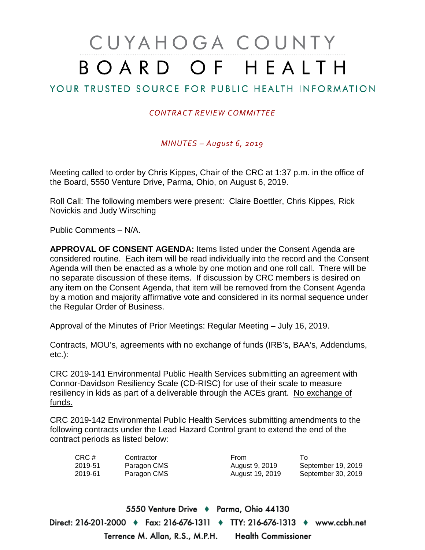# CUYAHOGA COUNTY BOARD OF HEALTH

## YOUR TRUSTED SOURCE FOR PUBLIC HEALTH INFORMATION

## *CONTRACT REVIEW COMMITTEE*

*MINUTES – August 6, 2019*

Meeting called to order by Chris Kippes, Chair of the CRC at 1:37 p.m. in the office of the Board, 5550 Venture Drive, Parma, Ohio, on August 6, 2019.

Roll Call: The following members were present: Claire Boettler, Chris Kippes, Rick Novickis and Judy Wirsching

Public Comments – N/A.

**APPROVAL OF CONSENT AGENDA:** Items listed under the Consent Agenda are considered routine. Each item will be read individually into the record and the Consent Agenda will then be enacted as a whole by one motion and one roll call. There will be no separate discussion of these items. If discussion by CRC members is desired on any item on the Consent Agenda, that item will be removed from the Consent Agenda by a motion and majority affirmative vote and considered in its normal sequence under the Regular Order of Business.

Approval of the Minutes of Prior Meetings: Regular Meeting – July 16, 2019.

Contracts, MOU's, agreements with no exchange of funds (IRB's, BAA's, Addendums, etc.):

CRC 2019-141 Environmental Public Health Services submitting an agreement with Connor-Davidson Resiliency Scale (CD-RISC) for use of their scale to measure resiliency in kids as part of a deliverable through the ACEs grant. No exchange of funds.

CRC 2019-142 Environmental Public Health Services submitting amendments to the following contracts under the Lead Hazard Control grant to extend the end of the contract periods as listed below:

| CRC#    | Contractor  | From            |                    |
|---------|-------------|-----------------|--------------------|
| 2019-51 | Paragon CMS | August 9, 2019  | September 19, 2019 |
| 2019-61 | Paragon CMS | August 19, 2019 | September 30, 2019 |

5550 Venture Drive + Parma, Ohio 44130 Direct: 216-201-2000 ♦ Fax: 216-676-1311 ♦ TTY: 216-676-1313 ♦ www.ccbh.net Terrence M. Allan, R.S., M.P.H. Health Commissioner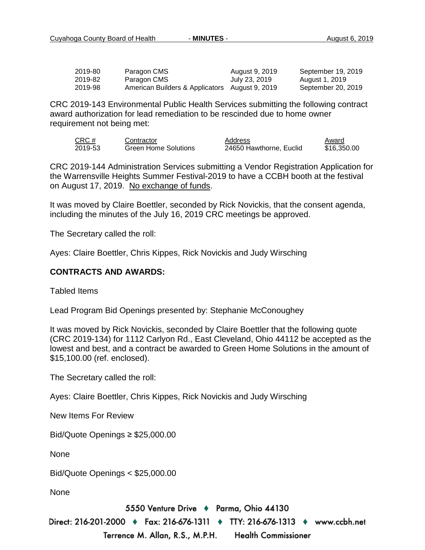| 2019-80 | Paragon CMS                                    | August 9, 2019 | September 19, 2019 |
|---------|------------------------------------------------|----------------|--------------------|
| 2019-82 | Paragon CMS                                    | July 23, 2019  | August 1, 2019     |
| 2019-98 | American Builders & Applicators August 9, 2019 |                | September 20, 2019 |

CRC 2019-143 Environmental Public Health Services submitting the following contract award authorization for lead remediation to be rescinded due to home owner requirement not being met:

| CRC #   | Contractor                  | Address                 | Award       |
|---------|-----------------------------|-------------------------|-------------|
| 2019-53 | <b>Green Home Solutions</b> | 24650 Hawthorne, Euclid | \$16,350.00 |

CRC 2019-144 Administration Services submitting a Vendor Registration Application for the Warrensville Heights Summer Festival-2019 to have a CCBH booth at the festival on August 17, 2019. No exchange of funds.

It was moved by Claire Boettler, seconded by Rick Novickis, that the consent agenda, including the minutes of the July 16, 2019 CRC meetings be approved.

The Secretary called the roll:

Ayes: Claire Boettler, Chris Kippes, Rick Novickis and Judy Wirsching

#### **CONTRACTS AND AWARDS:**

Tabled Items

Lead Program Bid Openings presented by: Stephanie McConoughey

It was moved by Rick Novickis, seconded by Claire Boettler that the following quote (CRC 2019-134) for 1112 Carlyon Rd., East Cleveland, Ohio 44112 be accepted as the lowest and best, and a contract be awarded to Green Home Solutions in the amount of \$15,100.00 (ref. enclosed).

The Secretary called the roll:

Ayes: Claire Boettler, Chris Kippes, Rick Novickis and Judy Wirsching

New Items For Review

Bid/Quote Openings ≥ \$25,000.00

None

Bid/Quote Openings < \$25,000.00

None

5550 Venture Drive + Parma, Ohio 44130

Direct: 216-201-2000 ♦ Fax: 216-676-1311 ♦ TTY: 216-676-1313 ♦ www.ccbh.net Terrence M. Allan, R.S., M.P.H. **Health Commissioner**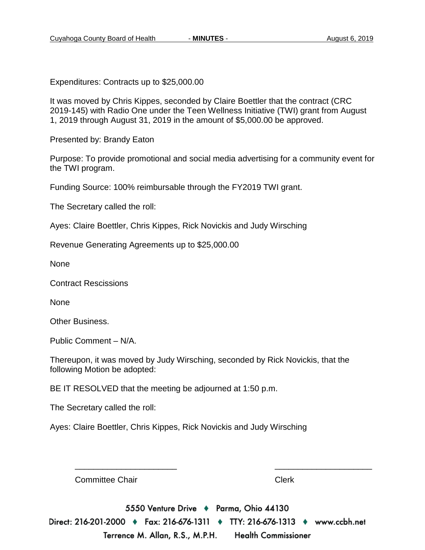Expenditures: Contracts up to \$25,000.00

It was moved by Chris Kippes, seconded by Claire Boettler that the contract (CRC 2019-145) with Radio One under the Teen Wellness Initiative (TWI) grant from August 1, 2019 through August 31, 2019 in the amount of \$5,000.00 be approved.

Presented by: Brandy Eaton

Purpose: To provide promotional and social media advertising for a community event for the TWI program.

Funding Source: 100% reimbursable through the FY2019 TWI grant.

The Secretary called the roll:

Ayes: Claire Boettler, Chris Kippes, Rick Novickis and Judy Wirsching

Revenue Generating Agreements up to \$25,000.00

None

Contract Rescissions

None

Other Business.

Public Comment – N/A.

Thereupon, it was moved by Judy Wirsching, seconded by Rick Novickis, that the following Motion be adopted:

BE IT RESOLVED that the meeting be adjourned at 1:50 p.m.

The Secretary called the roll:

Ayes: Claire Boettler, Chris Kippes, Rick Novickis and Judy Wirsching

Committee Chair **Clerk** Clerk

5550 Venture Drive + Parma, Ohio 44130 Direct: 216-201-2000 ♦ Fax: 216-676-1311 ♦ TTY: 216-676-1313 ♦ www.ccbh.net

\_\_\_\_\_\_\_\_\_\_\_\_\_\_\_\_\_\_\_\_\_\_ \_\_\_\_\_\_\_\_\_\_\_\_\_\_\_\_\_\_\_\_\_

Terrence M. Allan, R.S., M.P.H. **Health Commissioner**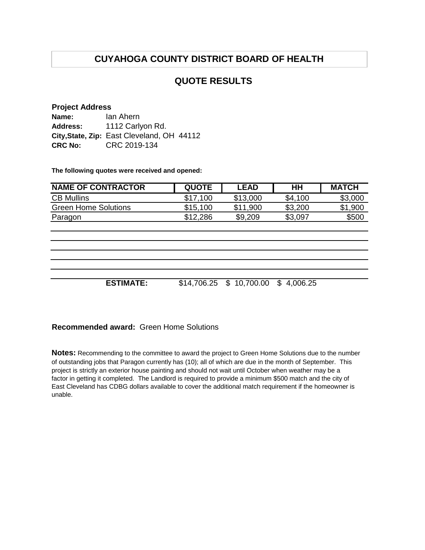# **CUYAHOGA COUNTY DISTRICT BOARD OF HEALTH**

## **QUOTE RESULTS**

#### **Project Address**

| Name:           | lan Ahern                                  |
|-----------------|--------------------------------------------|
| <b>Address:</b> | 1112 Carlyon Rd.                           |
|                 | City, State, Zip: East Cleveland, OH 44112 |
| <b>CRC No:</b>  | CRC 2019-134                               |

**The following quotes were received and opened:**

| <b>NAME OF CONTRACTOR</b>   | <b>QUOTE</b> | <b>LEAD</b> | HН      | <b>MATCH</b> |
|-----------------------------|--------------|-------------|---------|--------------|
| <b>CB Mullins</b>           | \$17,100     | \$13,000    | \$4,100 | \$3,000      |
| <b>Green Home Solutions</b> | \$15,100     | \$11,900    | \$3,200 | \$1,900      |
| Paragon                     | \$12,286     | \$9,209     | \$3,097 | \$500        |
|                             |              |             |         |              |
|                             |              |             |         |              |
|                             |              |             |         |              |
|                             |              |             |         |              |
|                             |              |             |         |              |

**ESTIMATE:** \$14,706.25 \$ 10,700.00 \$ 4,006.25

### **Recommended award:** Green Home Solutions

**Notes:** Recommending to the committee to award the project to Green Home Solutions due to the number of outstanding jobs that Paragon currently has (10); all of which are due in the month of September. This project is strictly an exterior house painting and should not wait until October when weather may be a factor in getting it completed. The Landlord is required to provide a minimum \$500 match and the city of East Cleveland has CDBG dollars available to cover the additional match requirement if the homeowner is unable.